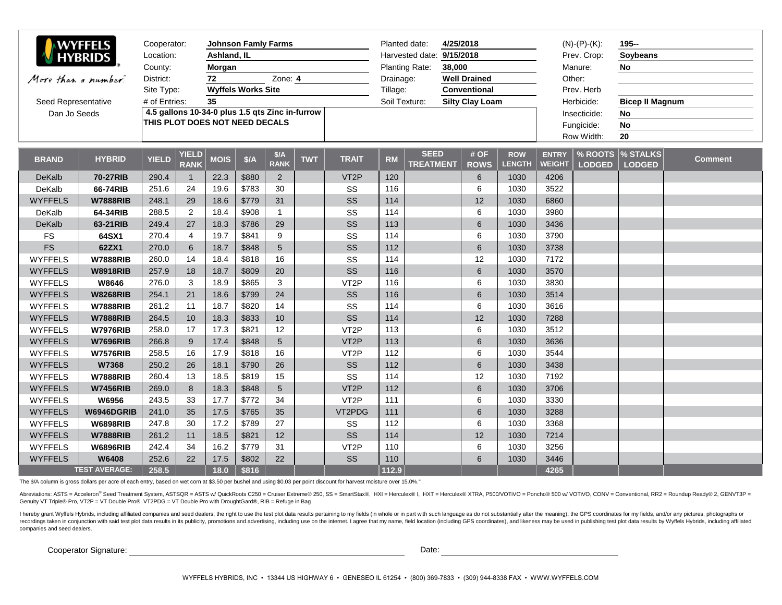| <b>WYFFELS</b>      | Cooperator:          |                                                                                   |                                         | <b>Johnson Famly Farms</b> |       |                    |            | 4/25/2018<br>Planted date: |                                         |                                 |                     |                             | $(N)$ - $(P)$ - $(K)$ :       | $195 -$                  |                                        |         |
|---------------------|----------------------|-----------------------------------------------------------------------------------|-----------------------------------------|----------------------------|-------|--------------------|------------|----------------------------|-----------------------------------------|---------------------------------|---------------------|-----------------------------|-------------------------------|--------------------------|----------------------------------------|---------|
| <b>HYBRIDS</b>      |                      | Location:                                                                         |                                         | Ashland, IL                |       |                    |            |                            |                                         | Harvested date: 9/15/2018       |                     |                             | Prev. Crop:                   |                          | <b>Soybeans</b>                        |         |
|                     |                      | County:                                                                           | Morgan                                  |                            |       |                    |            | 38,000<br>Planting Rate:   |                                         |                                 | Manure:             |                             | No                            |                          |                                        |         |
| More than a number. |                      | 72<br>District:                                                                   |                                         |                            |       | Zone: 4            |            |                            | <b>Well Drained</b><br>Drainage:        |                                 |                     | Other:                      |                               |                          |                                        |         |
|                     |                      |                                                                                   | <b>Wyffels Works Site</b><br>Site Type: |                            |       |                    |            |                            | Tillage:<br><b>Conventional</b>         |                                 |                     |                             |                               | Prev. Herb               |                                        |         |
| Seed Representative |                      | # of Entries:                                                                     |                                         | 35                         |       |                    |            |                            | Soil Texture:<br><b>Silty Clay Loam</b> |                                 |                     |                             | Herbicide:                    |                          | <b>Bicep II Magnum</b>                 |         |
| Dan Jo Seeds        |                      | 4.5 gallons 10-34-0 plus 1.5 qts Zinc in-furrow<br>THIS PLOT DOES NOT NEED DECALS |                                         |                            |       |                    |            |                            |                                         |                                 |                     |                             | Insecticide:                  |                          | No                                     |         |
|                     |                      |                                                                                   |                                         |                            |       |                    |            |                            |                                         |                                 |                     |                             | Fungicide:                    |                          | <b>No</b>                              |         |
|                     |                      |                                                                                   |                                         |                            |       |                    |            |                            |                                         |                                 |                     |                             | Row Width:                    |                          | 20                                     |         |
| <b>BRAND</b>        | <b>HYBRID</b>        | <b>YIELD</b>                                                                      | <b>YIELD</b><br><b>RANK</b>             | <b>MOIS</b>                | \$/A  | $A$<br><b>RANK</b> | <b>TWT</b> | <b>TRAIT</b>               | <b>RM</b>                               | <b>SEED</b><br><b>TREATMENT</b> | # OF<br><b>ROWS</b> | <b>ROW</b><br><b>LENGTH</b> | <b>ENTRY</b><br><b>WEIGHT</b> | % ROOTS<br><b>LODGED</b> | $\, \times \,$ STALKS<br><b>LODGED</b> | Comment |
| <b>DeKalb</b>       | 70-27RIB             | 290.4                                                                             | $\overline{1}$                          | 22.3                       | \$880 | 2                  |            | VT <sub>2</sub> P          | 120                                     |                                 | 6                   | 1030                        | 4206                          |                          |                                        |         |
| DeKalb              | 66-74RIB             | 251.6                                                                             | 24                                      | 19.6                       | \$783 | 30                 |            | SS                         | 116                                     |                                 | 6                   | 1030                        | 3522                          |                          |                                        |         |
| <b>WYFFELS</b>      | <b>W7888RIB</b>      | 248.1                                                                             | 29                                      | 18.6                       | \$779 | 31                 |            | SS                         | 114                                     |                                 | 12                  | 1030                        | 6860                          |                          |                                        |         |
| DeKalb              | 64-34RIB             | 288.5                                                                             | 2                                       | 18.4                       | \$908 | $\mathbf{1}$       |            | SS                         | 114                                     |                                 | 6                   | 1030                        | 3980                          |                          |                                        |         |
| DeKalb              | 63-21RIB             | 249.4                                                                             | 27                                      | 18.3                       | \$786 | 29                 |            | SS                         | 113                                     |                                 | $6\phantom{1}$      | 1030                        | 3436                          |                          |                                        |         |
| <b>FS</b>           | 64SX1                | 270.4                                                                             | $\overline{4}$                          | 19.7                       | \$841 | 9                  |            | SS                         | 114                                     |                                 | 6                   | 1030                        | 3790                          |                          |                                        |         |
| <b>FS</b>           | 62ZX1                | 270.0                                                                             | 6                                       | 18.7                       | \$848 | 5                  |            | SS                         | 112                                     |                                 | 6                   | 1030                        | 3738                          |                          |                                        |         |
| <b>WYFFELS</b>      | <b>W7888RIB</b>      | 260.0                                                                             | 14                                      | 18.4                       | \$818 | 16                 |            | SS                         | 114                                     |                                 | 12                  | 1030                        | 7172                          |                          |                                        |         |
| <b>WYFFELS</b>      | <b>W8918RIB</b>      | 257.9                                                                             | 18                                      | 18.7                       | \$809 | 20                 |            | SS                         | 116                                     |                                 | 6                   | 1030                        | 3570                          |                          |                                        |         |
| <b>WYFFELS</b>      | W8646                | 276.0                                                                             | 3                                       | 18.9                       | \$865 | $\mathbf{3}$       |            | VT <sub>2</sub> P          | 116                                     |                                 | 6                   | 1030                        | 3830                          |                          |                                        |         |
| <b>WYFFELS</b>      | <b>W8268RIB</b>      | 254.1                                                                             | 21                                      | 18.6                       | \$799 | 24                 |            | SS                         | 116                                     |                                 | $6\phantom{1}$      | 1030                        | 3514                          |                          |                                        |         |
| <b>WYFFELS</b>      | <b>W7888RIB</b>      | 261.2                                                                             | 11                                      | 18.7                       | \$820 | 14                 |            | SS                         | 114                                     |                                 | 6                   | 1030                        | 3616                          |                          |                                        |         |
| <b>WYFFELS</b>      | <b>W7888RIB</b>      | 264.5                                                                             | 10                                      | 18.3                       | \$833 | 10                 |            | SS                         | 114                                     |                                 | 12                  | 1030                        | 7288                          |                          |                                        |         |
| <b>WYFFELS</b>      | <b>W7976RIB</b>      | 258.0                                                                             | 17                                      | 17.3                       | \$821 | 12                 |            | VT <sub>2</sub> P          | 113                                     |                                 | 6                   | 1030                        | 3512                          |                          |                                        |         |
| <b>WYFFELS</b>      | <b>W7696RIB</b>      | 266.8                                                                             | 9                                       | 17.4                       | \$848 | $5\overline{)}$    |            | VT <sub>2</sub> P          | 113                                     |                                 | $6\phantom{a}$      | 1030                        | 3636                          |                          |                                        |         |
| <b>WYFFELS</b>      | <b>W7576RIB</b>      | 258.5                                                                             | 16                                      | 17.9                       | \$818 | 16                 |            | VT <sub>2</sub> P          | 112                                     |                                 | 6                   | 1030                        | 3544                          |                          |                                        |         |
| <b>WYFFELS</b>      | W7368                | 250.2                                                                             | 26                                      | 18.1                       | \$790 | 26                 |            | SS                         | 112                                     |                                 | $6\phantom{a}$      | 1030                        | 3438                          |                          |                                        |         |
| <b>WYFFELS</b>      | <b>W7888RIB</b>      | 260.4                                                                             | 13                                      | 18.5                       | \$819 | 15                 |            | SS                         | 114                                     |                                 | 12                  | 1030                        | 7192                          |                          |                                        |         |
| <b>WYFFELS</b>      | <b>W7456RIB</b>      | 269.0                                                                             | 8                                       | 18.3                       | \$848 | $5\overline{)}$    |            | VT <sub>2</sub> P          | 112                                     |                                 | $6\phantom{a}$      | 1030                        | 3706                          |                          |                                        |         |
| <b>WYFFELS</b>      | W6956                | 243.5                                                                             | 33                                      | 17.7                       | \$772 | 34                 |            | VT <sub>2</sub> P          | 111                                     |                                 | 6                   | 1030                        | 3330                          |                          |                                        |         |
| <b>WYFFELS</b>      | W6946DGRIB           | 241.0                                                                             | 35                                      | 17.5                       | \$765 | 35                 |            | VT2PDG                     | 111                                     |                                 | $6\phantom{a}$      | 1030                        | 3288                          |                          |                                        |         |
| <b>WYFFELS</b>      | <b>W6898RIB</b>      | 247.8                                                                             | 30                                      | 17.2                       | \$789 | 27                 |            | SS                         | 112                                     |                                 | 6                   | 1030                        | 3368                          |                          |                                        |         |
| <b>WYFFELS</b>      | <b>W7888RIB</b>      | 261.2                                                                             | 11                                      | 18.5                       | \$821 | 12                 |            | SS                         | 114                                     |                                 | 12                  | 1030                        | 7214                          |                          |                                        |         |
| <b>WYFFELS</b>      | <b>W6896RIB</b>      | 242.4                                                                             | 34                                      | 16.2                       | \$779 | 31                 |            | VT <sub>2</sub> P          | 110                                     |                                 | 6                   | 1030                        | 3256                          |                          |                                        |         |
| <b>WYFFELS</b>      | W6408                | 252.6                                                                             | 22                                      | 17.5                       | \$802 | 22                 |            | SS                         | 110                                     |                                 | 6                   | 1030                        | 3446                          |                          |                                        |         |
|                     | <b>TEST AVERAGE:</b> | 258.5                                                                             |                                         | 18.0                       | \$816 |                    |            |                            | 112.9                                   |                                 |                     |                             | 4265                          |                          |                                        |         |

The \$/A column is gross dollars per acre of each entry, based on wet corn at \$3.50 per bushel and using \$0.03 per point discount for harvest moisture over 15.0%."

Abreviations: ASTS = Acceleron® Seed Treatment System, ASTSQR = ASTS w/ QuickRoots C250 = Cruiser Extreme® 250, SS = SmartStax®, HXI = Herculex® I, HXT = Herculex® XTRA, P500/VOTiVO = Poncho® 500 w/ VOTiVO, CONV = Conventi Genuity VT Triple® Pro, VT2P = VT Double Pro®, VT2PDG = VT Double Pro with DroughtGard®, RIB = Refuge in Bag

I hereby grant Wyffels Hybrids, including affiliated companies and seed dealers, the right to use the test plot data results pertaining to my fields (in whole or in part with such language as do not substantially alter the recordings taken in conjunction with said test plot data results in its publicity, promotions and advertising, including use on the internet. I agree that my name, field location (including GPS coordinates), and likeness m companies and seed dealers.

Cooperator Signature:

Date: